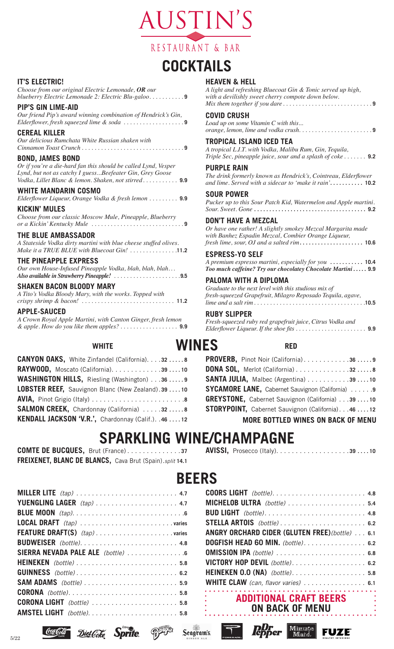

# **COCKTAILS**

#### **IT'S ELECTRIC!**

*Choose from our original Electric Lemonade, OR our blueberry Electric Lemonade 2: Electric Blu-galoo . . . . . . . . . .* **9**

#### **PIP'S GIN LIME-AID**

*Our friend Pip's award winning combination of Hendrick's Gin, Elderflower, fresh squeezed lime & soda . . . . . . . . . . . . . . . . . .* **9**

#### **CEREAL KILLER**

*Our delicious Rumchata White Russian shaken with Cinnamon Toast Crunch . . . . . . . . . . . . . . . . . . . . . . . . . . . . . . .* **9**

#### **BOND, JAMES BOND**

*Or if you're a die-hard fan this should be called Lynd, Vesper Lynd, but not as catchy I guess...Beefeater Gin, Grey Goose Vodka, Lillet Blanc & lemon. Shaken, not stirred . . . . . . . . . . .* **9.9** 

#### **WHITE MANDARIN COSMO**

*Elderflower Liqueur, Orange Vodka & fresh lemon . . . . . . . . .* **9.9**

**KICKIN' MULES** *Choose from our classic Moscow Mule, Pineapple, Blueberry or a Kickin' Kentucky Mule . . . . . . . . . . . . . . . . . . . . . . . . . . . .* **9**

#### **THE BLUE AMBASSADOR**

*A Stateside Vodka dirty martini with blue cheese stuffed olives. Make it a TRUE BLUE with Bluecoat Gin! . . . . . . . . . . . . . .* **11.2**

#### **THE PINEAPPLE EXPRESS**

*Our own House-Infused Pineapple Vodka, blah, blah, blah... Also available in Strawberry Pineapple! . . . . . . . . . . . . . . . . . . . .* **9.5**

#### **SHAKEN BACON BLOODY MARY**

| A Tito's Vodka Bloody Mary, with the works. Topped with |  |
|---------------------------------------------------------|--|
|                                                         |  |

#### **APPLE-SAUCED**

*A Crown Royal Apple Martini, with Canton Ginger, fresh lemon & apple. How do you like them apples? . . . . . . . . . . . . . . . . . .* **9.9**

#### **WHITE**

| <b>CANYON OAKS.</b> White Zinfandel (California). 32 8 |
|--------------------------------------------------------|
| <b>RAYWOOD, Moscato (California)3910</b>               |
| WASHINGTON HILLS, Riesling (Washington) 36 9           |
| LOBSTER REEF, Sauvignon Blanc (New Zealand). 39  10    |
|                                                        |
| <b>SALMON CREEK, Chardonnay (California) 328</b>       |
| KENDALL JACKSON 'V.R.', Chardonnay (Calif.). .46  12   |

#### **HEAVEN & HELL**

*A light and refreshing Bluecoat Gin & Tonic served up high, with a devilishly sweet cherry compote down below. Mix them together if you dare . . . . . . . . . . . . . . . . . . . . . . . . . . .* **9**

#### **COVID CRUSH**

*Load up on some Vitamin C with this... orange, lemon, lime and vodka crush.......................* **9**

#### **TROPICAL ISLAND ICED TEA**

*A tropical L.I.T. with Vodka, Malibu Rum, Gin, Tequila, Triple Sec, pineapple juice, sour and a splash of coke . . . . . . .* **9.2**

#### **PURPLE RAIN**

*The drink formerly known as Hendrick's, Cointreau, Elderflower and lime. Served with a sidecar to 'make it rain'***. . . . . . . . . . . 10.2**

#### **SOUR POWER**

*Pucker up to this Sour Patch Kid, Watermelon and Apple martini. Sour. Sweet. Gone***. . 9.2**

#### **DON'T HAVE A MEZCAL**

*Or have one rather! A slightly smokey Mezcal Margarita made with Banhez Espadin Mezcal, Combier Orange Liqueur, fresh lime, sour, OJ and a salted rim***. . 10.6**

#### **ESPRESS-YO SELF**

*A premium espresso martini, especially for you* **. . 10.4** *Too much caffeine? Try our chocolatey Chocolate Martini* **. . . . . 9.9**

#### **PALOMA WITH A DIPLOMA**

*Graduate to the next level with this studious mix of fresh-squeezed Grapefruit, Milagro Reposado Tequila, agave, lime and a salt rim . . . . . . . . . . . . . . . . . . . . . . . . . . . . . . . . . .* **10.5**

#### **RUBY SLIPPER**

*Fresh-squeezed ruby red grapefruit juice, Citrus Vodka and Elderflower Liqueur. If the shoe fits . . . . . . . . . . . . . . . . . . . . . .* **9.9**

#### **RED**

| PROVERB, Pinot Noir (California)369                     |
|---------------------------------------------------------|
|                                                         |
| SANTA JULIA, Malbec (Argentina) 39 10                   |
| <b>SYCAMORE LANE, Cabernet Sauvignon (California) 9</b> |
| GREYSTONE, Cabernet Sauvignon (California) 39 10        |
| STORYPOINT, Cabernet Sauvignon (California). 46 12      |
| <b>MORE BOTTLED WINES ON BACK OF MENU</b>               |

### **SPARKLING WINE/CHAMPAGNE**

**WINES**

| <b>COMTE DE BUCQUES, Brut (France)37</b>                        |  |  |
|-----------------------------------------------------------------|--|--|
| <b>FREIXENET, BLANC DE BLANCS, Cava Brut (Spain).split 14.1</b> |  |  |

**AVISSI,** Prosecco (Italy) . . . . . . . . . . . . . . . . . . **39. . 10**

### **BEERS**

Seagram's

| SIERRA NEVADA PALE ALE (bottle) |
|---------------------------------|
|                                 |
|                                 |
|                                 |
|                                 |
|                                 |
|                                 |
|                                 |

Diet Coke

**Sprite** 

| MICHELOB ULTRA (bottle) 5.4                            |  |
|--------------------------------------------------------|--|
|                                                        |  |
| STELLA ARTOIS (bottle) 6.2                             |  |
| <b>ANGRY ORCHARD CIDER (GLUTEN FREE) (bottle)  6.1</b> |  |
| DOGFISH HEAD 60 MIN. (bottle). 6.2                     |  |
|                                                        |  |
| VICTORY HOP DEVIL (bottle). 6.2                        |  |
| HEINEKEN 0.0 (NA) (bottle). 5.8                        |  |
| WHITE CLAW (can, flavor varies) 6.1                    |  |
|                                                        |  |

**ADDITIONAL CRAFT BEERS ON BACK OF MENU**

**Ruffer Minute** 

**FUZE** 

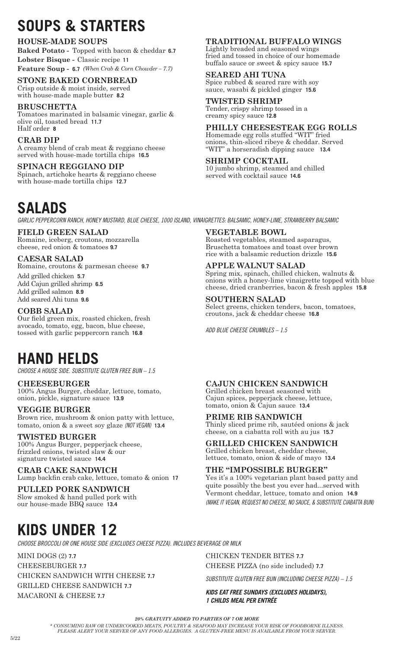# **SOUPS & STARTERS**

#### **HOUSE-MADE SOUPS**

**Baked Potato -** Topped with bacon & cheddar **6.7 Lobster Bisque -** Classic recipe **11 Feature Soup -****6.7** *(When Crab & Corn Chowder – 7.7)*

#### **STONE BAKED CORNBREAD**

Crisp outside & moist inside, served with house-made maple butter **8.2**

#### **BRUSCHETTA**

Tomatoes marinated in balsamic vinegar, garlic & olive oil, toasted bread **11.7** Half order **8**

#### **CRAB DIP**

A creamy blend of crab meat & reggiano cheese served with house-made tortilla chips **16.5**

**SPINACH REGGIANO DIP** Spinach, artichoke hearts & reggiano cheese with house-made tortilla chips **12.7**

### **SALADS**

*GARLIC PEPPERCORN RANCH, HONEY MUSTARD, BLUE CHEESE, 1000 ISLAND, VINAIGRETTES: BALSAMIC, HONEY-LIME, STRAWBERRY BALSAMIC*

#### **FIELD GREEN SALAD**

Romaine, iceberg, croutons, mozzarella cheese, red onion & tomatoes **9.7**

#### **CAESAR SALAD**

Romaine, croutons & parmesan cheese **9.7**

Add grilled chicken **5.7** Add Cajun grilled shrimp **6.5** Add grilled salmon **8.9** Add seared Ahi tuna **9.6**

#### **COBB SALAD**

Our field green mix, roasted chicken, fresh avocado, tomato, egg, bacon, blue cheese, tossed with garlic peppercorn ranch **16.8**

### **HAND HELDS**

*CHOOSE A HOUSE SIDE. SUBSTITUTE GLUTEN FREE BUN – 1.5*

**CHEESEBURGER** 100% Angus Burger, cheddar, lettuce, tomato, onion, pickle, signature sauce **13.9**

#### **VEGGIE BURGER**

Brown rice, mushroom & onion patty with lettuce, tomato, onion & a sweet soy glaze *(NOT VEGAN)* **13.4**

#### **TWISTED BURGER**

100% Angus Burger, pepperjack cheese, frizzled onions, twisted slaw & our signature twisted sauce **14.4**

**CRAB CAKE SANDWICH** Lump backfin crab cake, lettuce, tomato & onion **17**

**PULLED PORK SANDWICH** Slow smoked & hand pulled pork with our house-made BBQ sauce **13.4**

#### **TRADITIONAL BUFFALO WINGS**

Lightly breaded and seasoned wings fried and tossed in choice of our homemade buffalo sauce or sweet & spicy sauce **15.7**

#### **SEARED AHI TUNA**

Spice rubbed & seared rare with soy sauce, wasabi & pickled ginger **15.6**

#### **TWISTED SHRIMP**

Tender, crispy shrimp tossed in a creamy spicy sauce **12.8**

#### **PHILLY CHEESESTEAK EGG ROLLS**

Homemade egg rolls stuffed "WIT" fried onions, thin-sliced ribeye & cheddar. Served "WIT" a horseradish dipping sauce **13.4**

**SHRIMP COCKTAIL** 10 jumbo shrimp, steamed and chilled served with cocktail sauce **14.6**

**VEGETABLE BOWL** Roasted vegetables, steamed asparagus, Bruschetta tomatoes and toast over brown rice with a balsamic reduction drizzle **15.6**

### **APPLE WALNUT SALAD**

Spring mix, spinach, chilled chicken, walnuts  $\&$ onions with a honey-lime vinaigrette topped with blue cheese, dried cranberries, bacon & fresh apples **15.8**

#### **SOUTHERN SALAD**

Select greens, chicken tenders, bacon, tomatoes, croutons, jack & cheddar cheese **16.8**

*ADD BLUE CHEESE CRUMBLES – 1.5*

#### **CAJUN CHICKEN SANDWICH**

Grilled chicken breast seasoned with Cajun spices, pepperjack cheese, lettuce, tomato, onion & Cajun sauce **13.4**

#### **PRIME RIB SANDWICH**

Thinly sliced prime rib, sautéed onions & jack cheese, on a ciabatta roll with au jus **15.7**

#### **GRILLED CHICKEN SANDWICH** Grilled chicken breast, cheddar cheese,

lettuce, tomato, onion & side of mayo **13.4**

#### **THE "IMPOSSIBLE BURGER"**

Yes it's a 100% vegetarian plant based patty and quite possibly the best you ever had...served with Vermont cheddar, lettuce, tomato and onion **14.9** *(MAKE IT VEGAN, REQUEST NO CHEESE, NO SAUCE, & SUBSTITUTE CIABATTA BUN)*

## **KIDS UNDER 12**

*CHOOSE BROCCOLI OR ONE HOUSE SIDE (EXCLUDES CHEESE PIZZA). INCLUDES BEVERAGE OR MILK*

MINI DOGS (2) **7.7** CHEESEBURGER **7.7** CHICKEN SANDWICH WITH CHEESE **7.7** GRILLED CHEESE SANDWICH **7.7** MACARONI & CHEESE **7.7**

CHICKEN TENDER BITES **7.7** CHEESE PIZZA (no side included) **7.7**

*SUBSTITUTE GLUTEN FREE BUN (INCLUDING CHEESE PIZZA) – 1.5*

*KIDS EAT FREE SUNDAYS (EXCLUDES HOLIDAYS), 1 CHILDS MEAL PER ENTRÉE*

*20% GRATUITY ADDED TO PARTIES OF 7 OR MORE*

*\* CONSUMING RAW OR UNDERCOOKED MEATS, POULTRY & SEAFOOD MAY INCREASE YOUR RISK OF FOODBORNE ILLNESS. PLEASE ALERT YOUR SERVER OF ANY FOOD ALLERGIES. A GLUTEN-FREE MENU IS AVAILABLE FROM YOUR SERVER.*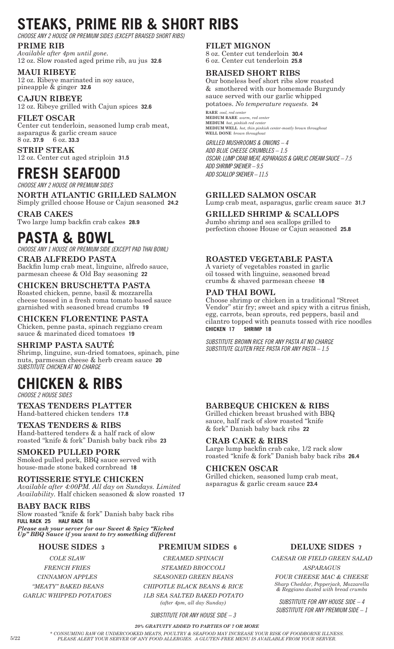# **STEAKS, PRIME RIB & SHORT RIBS**

*CHOOSE ANY 2 HOUSE OR PREMIUM SIDES (EXCEPT BRAISED SHORT RIBS)*

**PRIME RIB** *Available after 4pm until gone*. 12 oz. Slow roasted aged prime rib, au jus **32.6**

**MAUI RIBEYE** 12 oz. Ribeye marinated in soy sauce, pineapple & ginger **32.6**

**CAJUN RIBEYE** 12 oz. Ribeye grilled with Cajun spices **32.6**

#### **FILET OSCAR**

Center cut tenderloin, seasoned lump crab meat, asparagus & garlic cream sauce 8 oz. **37.9** 6 oz. **33.3 STRIP STEAK**

12 oz. Center cut aged striploin **31.5**

### **FRESH SEAFOOD**

*CHOOSE ANY 2 HOUSE OR PREMIUM SIDES*

**NORTH ATLANTIC GRILLED SALMON** Simply grilled choose House or Cajun seasoned **24.2**

**CRAB CAKES** Two large lump backfin crab cakes **28.9**

### **PASTA & BOWL**

*CHOOSE ANY 1 HOUSE OR PREMIUM SIDE (EXCEPT PAD THAI BOWL)*

**CRAB ALFREDO PASTA** Backfin lump crab meat, linguine, alfredo sauce, parmesan cheese & Old Bay seasoning **22**

#### **CHICKEN BRUSCHETTA PASTA**

Roasted chicken, penne, basil & mozzarella cheese tossed in a fresh roma tomato based sauce garnished with seasoned bread crumbs **19**

#### **CHICKEN FLORENTINE PASTA**

Chicken, penne pasta, spinach reggiano cream sauce & marinated diced tomatoes **19**

#### **SHRIMP PASTA SAUTÉ**

Shrimp, linguine, sun-dried tomatoes, spinach, pine nuts, parmesan cheese & herb cream sauce **20** *SUBSTITUTE CHICKEN AT NO CHARGE*

## **CHICKEN & RIBS**

*CHOOSE 2 HOUSE SIDES*

**TEXAS TENDERS PLATTER** Hand-battered chicken tenders **17.8**

#### **TEXAS TENDERS & RIBS**

Hand-battered tenders & a half rack of slow roasted "knife & fork" Danish baby back ribs **23**

#### **SMOKED PULLED PORK**

Smoked pulled pork, BBQ sauce served with house-made stone baked cornbread **18**

#### **ROTISSERIE STYLE CHICKEN**

*Available after 4:00PM. All day on Sundays. Limited Availability.* Half chicken seasoned & slow roasted **17**

#### **BABY BACK RIBS**

Slow roasted "knife & fork" Danish baby back ribs **FULL RACK 25 HALF RACK 18** *Please ask your server for our Sweet & Spicy "Kicked Up" BBQ Sauce if you want to try something different*

#### **HOUSE SIDES <sup>3</sup>**

*COLE SLAW FRENCH FRIES*

*CINNAMON APPLES "MEATY" BAKED BEANS*

*GARLIC WHIPPED POTATOES* 

#### **FILET MIGNON**

8 oz. Center cut tenderloin **30.4** 6 oz. Center cut tenderloin **25.8**

#### **BRAISED SHORT RIBS**

Our boneless beef short ribs slow roasted & smothered with our homemade Burgundy sauce served with our garlic whipped potatoes. *No temperature requests.* **24**

**RARE** *cool, red center* **MEDIUM RARE** *warm, red center* **MEDIUM** *hot, pinkish red center* **MEDIUM WELL** *hot, thin pinkish center-mostly brown throughout* **WELL DONE** *brown throughout*

*GRILLED MUSHROOMS & ONIONS – 4 ADD BLUE CHEESE CRUMBLES – 1.5 OSCAR: LUMP CRAB MEAT, ASPARAGUS & GARLIC CREAM SAUCE – 7.5 ADD SHRIMP SKEWER – 9.5 ADD SCALLOP SKEWER – 11.5*

#### **GRILLED SALMON OSCAR**

Lump crab meat, asparagus, garlic cream sauce **31.7**

#### **GRILLED SHRIMP & SCALLOPS**

Jumbo shrimp and sea scallops grilled to perfection choose House or Cajun seasoned **25.8**

#### **ROASTED VEGETABLE PASTA**

A variety of vegetables roasted in garlic oil tossed with linguine, seasoned bread crumbs & shaved parmesan cheese **18**

#### **PAD THAI BOWL**

Choose shrimp or chicken in a traditional "Street Vendor" stir fry; sweet and spicy with a citrus finish, egg, carrots, bean sprouts, red peppers, basil and cilantro topped with peanuts tossed with rice noodles **CHICKEN 17 SHRIMP 18**

*SUBSTITUTE BROWN RICE FOR ANY PASTA AT NO CHARGE SUBSTITUTE GLUTEN FREE PASTA FOR ANY PASTA – 1.5*

#### **BARBEQUE CHICKEN & RIBS**

Grilled chicken breast brushed with BBQ sauce, half rack of slow roasted "knife & fork" Danish baby back ribs **22**

#### **CRAB CAKE & RIBS**

Large lump backfin crab cake, 1/2 rack slow roasted "knife & fork" Danish baby back ribs **26.4**

#### **CHICKEN OSCAR**

Grilled chicken, seasoned lump crab meat, asparagus & garlic cream sauce **23.4**

#### **PREMIUM SIDES <sup>6</sup>**

*CREAMED SPINACH STEAMED BROCCOLI SEASONED GREEN BEANS* 

*CHIPOTLE BLACK BEANS & RICE 1LB SEA SALTED BAKED POTATO*

*(after 4pm, all day Sunday)* 

#### *SUBSTITUTE FOR ANY HOUSE SIDE – 3*

#### **DELUXE SIDES <sup>7</sup>**

*CAESAR OR FIELD GREEN SALAD ASPARAGUS*

*FOUR CHEESE MAC & CHEESE Sharp Cheddar, Pepperjack, Mozzarella & Reggiano dusted with bread crumbs*

*SUBSTITUTE FOR ANY HOUSE SIDE – 4 SUBSTITUTE FOR ANY PREMIUM SIDE – 1*

*20% GRATUITY ADDED TO PARTIES OF 7 OR MORE*

*\* CONSUMING RAW OR UNDERCOOKED MEATS, POULTRY & SEAFOOD MAY INCREASE YOUR RISK OF FOODBORNE ILLNESS. PLEASE ALERT YOUR SERVER OF ANY FOOD ALLERGIES. A GLUTEN-FREE MENU IS AVAILABLE FROM YOUR SERVER.*